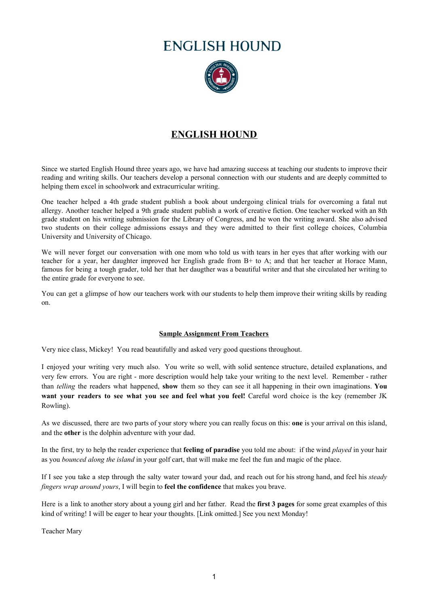# **ENGLISH HOUND**



# **ENGLISH HOUND**

Since we started English Hound three years ago, we have had amazing success at teaching our students to improve their reading and writing skills. Our teachers develop a personal connection with our students and are deeply committed to helping them excel in schoolwork and extracurricular writing.

One teacher helped a 4th grade student publish a book about undergoing clinical trials for overcoming a fatal nut allergy. Another teacher helped a 9th grade student publish a work of creative fiction. One teacher worked with an 8th grade student on his writing submission for the Library of Congress, and he won the writing award. She also advised two students on their college admissions essays and they were admitted to their first college choices, Columbia University and University of Chicago.

We will never forget our conversation with one mom who told us with tears in her eyes that after working with our teacher for a year, her daughter improved her English grade from B+ to A; and that her teacher at Horace Mann, famous for being a tough grader, told her that her daugther was a beautiful writer and that she circulated her writing to the entire grade for everyone to see.

You can get a glimpse of how our teachers work with our students to help them improve their writing skills by reading on.

# **Sample Assignment From Teachers**

Very nice class, Mickey! You read beautifully and asked very good questions throughout.

I enjoyed your writing very much also. You write so well, with solid sentence structure, detailed explanations, and very few errors. You are right - more description would help take your writing to the next level. Remember - rather than *telling* the readers what happened, **show** them so they can see it all happening in their own imaginations. **You want your readers to see what you see and feel what you feel!** Careful word choice is the key (remember JK Rowling).

As we discussed, there are two parts of your story where you can really focus on this: **one** is your arrival on this island, and the **other** is the dolphin adventure with your dad.

In the first, try to help the reader experience that **feeling of paradise** you told me about: if the wind *played* in your hair as you *bounced along the island* in your golf cart, that will make me feel the fun and magic of the place.

If I see you take a step through the salty water toward your dad, and reach out for his strong hand, and feel his *steady fingers wrap around yours*, I will begin to **feel the confidence** that makes you brave.

Here is a link to another story about a young girl and her father. Read the **first 3 pages** for some great examples of this kind of writing! I will be eager to hear your thoughts. [Link omitted.] See you next Monday!

Teacher Mary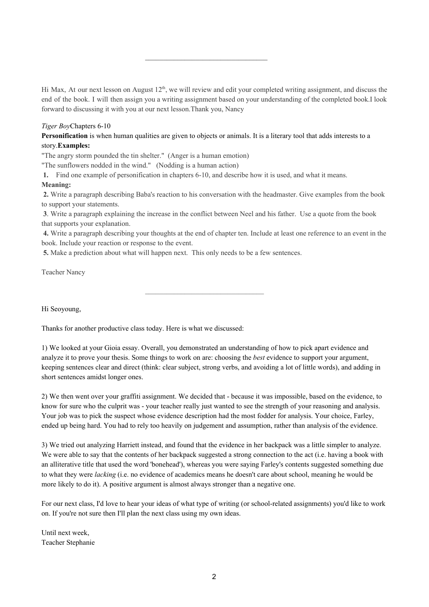Hi Max, At our next lesson on August 12<sup>th</sup>, we will review and edit your completed writing assignment, and discuss the end of the book. I will then assign you a writing assignment based on your understanding of the completed book.I look forward to discussing it with you at our next lesson.Thank you, Nancy

 $\mathcal{L}_\text{max}$  , and the set of the set of the set of the set of the set of the set of the set of the set of the set of the set of the set of the set of the set of the set of the set of the set of the set of the set of the

## *Tiger Boy*Chapters 6-10

**Personification** is when human qualities are given to objects or animals. It is a literary tool that adds interests to a story.**Examples:**

"The angry storm pounded the tin shelter." (Anger is a human emotion)

"The sunflowers nodded in the wind." (Nodding is a human action)

**1.** Find one example of personification in chapters 6-10, and describe how it is used, and what it means.

# **Meaning:**

**2.** Write a paragraph describing Baba's reaction to his conversation with the headmaster. Give examples from the book to support your statements.

**3**. Write a paragraph explaining the increase in the conflict between Neel and his father. Use a quote from the book that supports your explanation.

 $\mathcal{L}_\text{max}$  and  $\mathcal{L}_\text{max}$  and  $\mathcal{L}_\text{max}$  and  $\mathcal{L}_\text{max}$ 

**4.** Write a paragraph describing your thoughts at the end of chapter ten. Include at least one reference to an event in the book. Include your reaction or response to the event.

**5.** Make a prediction about what will happen next. This only needs to be a few sentences.

Teacher Nancy

Hi Seoyoung,

Thanks for another productive class today. Here is what we discussed:

1) We looked at your Gioia essay. Overall, you demonstrated an understanding of how to pick apart evidence and analyze it to prove your thesis. Some things to work on are: choosing the *best* evidence to support your argument, keeping sentences clear and direct (think: clear subject, strong verbs, and avoiding a lot of little words), and adding in short sentences amidst longer ones.

2) We then went over your graffiti assignment. We decided that - because it was impossible, based on the evidence, to know for sure who the culprit was - your teacher really just wanted to see the strength of your reasoning and analysis. Your job was to pick the suspect whose evidence description had the most fodder for analysis. Your choice, Farley, ended up being hard. You had to rely too heavily on judgement and assumption, rather than analysis of the evidence.

3) We tried out analyzing Harriett instead, and found that the evidence in her backpack was a little simpler to analyze. We were able to say that the contents of her backpack suggested a strong connection to the act (i.e. having a book with an alliterative title that used the word 'bonehead'), whereas you were saying Farley's contents suggested something due to what they were *lacking* (i.e. no evidence of academics means he doesn't care about school, meaning he would be more likely to do it). A positive argument is almost always stronger than a negative one.

For our next class, I'd love to hear your ideas of what type of writing (or school-related assignments) you'd like to work on. If you're not sure then I'll plan the next class using my own ideas.

Until next week, Teacher Stephanie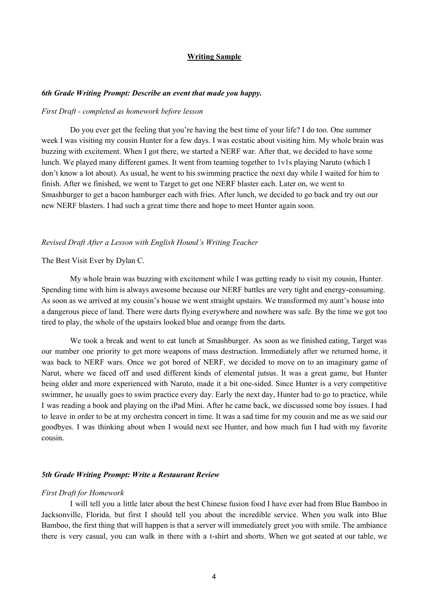## **Writing Sample**

#### *6th Grade Writing Prompt: Describe an event that made you happy.*

#### *First Draft - completed as homework before lesson*

Do you ever get the feeling that you're having the best time of your life? I do too. One summer week I was visiting my cousin Hunter for a few days. I was ecstatic about visiting him. My whole brain was buzzing with excitement. When I got there, we started a NERF war. After that, we decided to have some lunch. We played many different games. It went from teaming together to 1v1s playing Naruto (which I don't know a lot about). As usual, he went to his swimming practice the next day while I waited for him to finish. After we finished, we went to Target to get one NERF blaster each. Later on, we went to Smashburger to get a bacon hamburger each with fries. After lunch, we decided to go back and try out our new NERF blasters. I had such a great time there and hope to meet Hunter again soon.

#### *Revised Draft After a Lesson with English Hound's Writing Teacher*

#### The Best Visit Ever by Dylan C.

My whole brain was buzzing with excitement while I was getting ready to visit my cousin, Hunter. Spending time with him is always awesome because our NERF battles are very tight and energy-consuming. As soon as we arrived at my cousin's house we went straight upstairs. We transformed my aunt's house into a dangerous piece of land. There were darts flying everywhere and nowhere was safe. By the time we got too tired to play, the whole of the upstairs looked blue and orange from the darts.

We took a break and went to eat lunch at Smashburger. As soon as we finished eating, Target was our number one priority to get more weapons of mass destruction. Immediately after we returned home, it was back to NERF wars. Once we got bored of NERF, we decided to move on to an imaginary game of Narut, where we faced off and used different kinds of elemental jutsus. It was a great game, but Hunter being older and more experienced with Naruto, made it a bit one-sided. Since Hunter is a very competitive swimmer, he usually goes to swim practice every day. Early the next day, Hunter had to go to practice, while I was reading a book and playing on the iPad Mini. After he came back, we discussed some boy issues. I had to leave in order to be at my orchestra concert in time. It was a sad time for my cousin and me as we said our goodbyes. I was thinking about when I would next see Hunter, and how much fun I had with my favorite cousin.

#### *5th Grade Writing Prompt: Write a Restaurant Review*

#### *First Draft for Homework*

I will tell you a little later about the best Chinese fusion food I have ever had from Blue Bamboo in Jacksonville, Florida, but first I should tell you about the incredible service. When you walk into Blue Bamboo, the first thing that will happen is that a server will immediately greet you with smile. The ambiance there is very casual, you can walk in there with a t-shirt and shorts. When we got seated at our table, we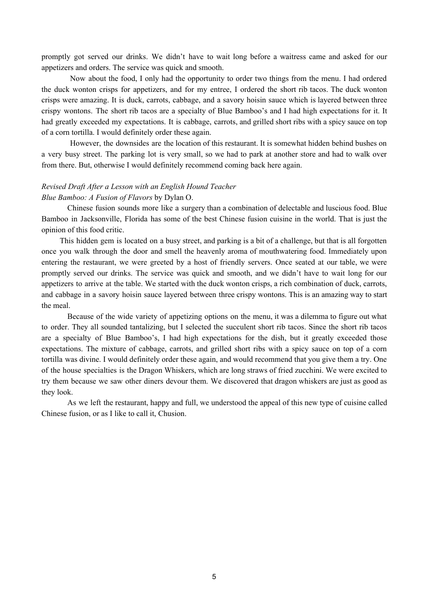promptly got served our drinks. We didn't have to wait long before a waitress came and asked for our appetizers and orders. The service was quick and smooth.

Now about the food, I only had the opportunity to order two things from the menu. I had ordered the duck wonton crisps for appetizers, and for my entree, I ordered the short rib tacos. The duck wonton crisps were amazing. It is duck, carrots, cabbage, and a savory hoisin sauce which is layered between three crispy wontons. The short rib tacos are a specialty of Blue Bamboo's and I had high expectations for it. It had greatly exceeded my expectations. It is cabbage, carrots, and grilled short ribs with a spicy sauce on top of a corn tortilla. I would definitely order these again.

However, the downsides are the location of this restaurant. It is somewhat hidden behind bushes on a very busy street. The parking lot is very small, so we had to park at another store and had to walk over from there. But, otherwise I would definitely recommend coming back here again.

# *Revised Draft After a Lesson with an English Hound Teacher Blue Bamboo: A Fusion of Flavors* by Dylan O.

Chinese fusion sounds more like a surgery than a combination of delectable and luscious food. Blue Bamboo in Jacksonville, Florida has some of the best Chinese fusion cuisine in the world. That is just the opinion of this food critic.

This hidden gem is located on a busy street, and parking is a bit of a challenge, but that is all forgotten once you walk through the door and smell the heavenly aroma of mouthwatering food. Immediately upon entering the restaurant, we were greeted by a host of friendly servers. Once seated at our table, we were promptly served our drinks. The service was quick and smooth, and we didn't have to wait long for our appetizers to arrive at the table. We started with the duck wonton crisps, a rich combination of duck, carrots, and cabbage in a savory hoisin sauce layered between three crispy wontons. This is an amazing way to start the meal.

Because of the wide variety of appetizing options on the menu, it was a dilemma to figure out what to order. They all sounded tantalizing, but I selected the succulent short rib tacos. Since the short rib tacos are a specialty of Blue Bamboo's, I had high expectations for the dish, but it greatly exceeded those expectations. The mixture of cabbage, carrots, and grilled short ribs with a spicy sauce on top of a corn tortilla was divine. I would definitely order these again, and would recommend that you give them a try. One of the house specialties is the Dragon Whiskers, which are long straws of fried zucchini. We were excited to try them because we saw other diners devour them. We discovered that dragon whiskers are just as good as they look.

As we left the restaurant, happy and full, we understood the appeal of this new type of cuisine called Chinese fusion, or as I like to call it, Chusion.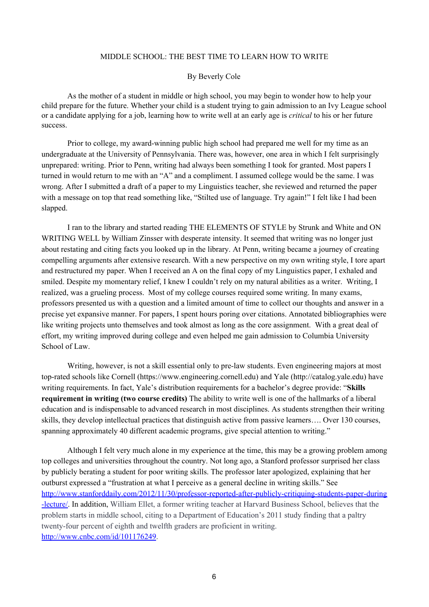#### MIDDLE SCHOOL: THE BEST TIME TO LEARN HOW TO WRITE

# By Beverly Cole

As the mother of a student in middle or high school, you may begin to wonder how to help your child prepare for the future. Whether your child is a student trying to gain admission to an Ivy League school or a candidate applying for a job, learning how to write well at an early age is *critical* to his or her future success.

Prior to college, my award-winning public high school had prepared me well for my time as an undergraduate at the University of Pennsylvania. There was, however, one area in which I felt surprisingly unprepared: writing. Prior to Penn, writing had always been something I took for granted. Most papers I turned in would return to me with an "A" and a compliment. I assumed college would be the same. I was wrong. After I submitted a draft of a paper to my Linguistics teacher, she reviewed and returned the paper with a message on top that read something like, "Stilted use of language. Try again!" I felt like I had been slapped.

I ran to the library and started reading THE ELEMENTS OF STYLE by Strunk and White and ON WRITING WELL by William Zinsser with desperate intensity. It seemed that writing was no longer just about restating and citing facts you looked up in the library. At Penn, writing became a journey of creating compelling arguments after extensive research. With a new perspective on my own writing style, I tore apart and restructured my paper. When I received an A on the final copy of my Linguistics paper, I exhaled and smiled. Despite my momentary relief, I knew I couldn't rely on my natural abilities as a writer. Writing, I realized, was a grueling process. Most of my college courses required some writing. In many exams, professors presented us with a question and a limited amount of time to collect our thoughts and answer in a precise yet expansive manner. For papers, I spent hours poring over citations. Annotated bibliographies were like writing projects unto themselves and took almost as long as the core assignment. With a great deal of effort, my writing improved during college and even helped me gain admission to Columbia University School of Law.

Writing, however, is not a skill essential only to pre-law students. Even engineering majors at most top-rated schools like Cornell (https://www.engineering.cornell.edu) and Yale (http://catalog.yale.edu) have writing requirements. In fact, Yale's distribution requirements for a bachelor's degree provide: "**Skills requirement in writing (two course credits)** The ability to write well is one of the hallmarks of a liberal education and is indispensable to advanced research in most disciplines. As students strengthen their writing skills, they develop intellectual practices that distinguish active from passive learners…. Over 130 courses, spanning approximately 40 different academic programs, give special attention to writing."

Although I felt very much alone in my experience at the time, this may be a growing problem among top colleges and universities throughout the country. Not long ago, a Stanford professor surprised her class by publicly berating a student for poor writing skills. The professor later apologized, explaining that her outburst expressed a "frustration at what I perceive as a general decline in writing skills." See [http://www.stanforddaily.com/2012/11/30/professor-reported-after-publicly-critiquing-students-paper-during](http://www.stanforddaily.com/2012/11/30/professor-reported-after-publicly-critiquing-students-paper-during-lecture/) [-lecture/.](http://www.stanforddaily.com/2012/11/30/professor-reported-after-publicly-critiquing-students-paper-during-lecture/) In addition, William Ellet, a former writing teacher at Harvard Business School, believes that the problem starts in middle school, citing to a Department of Education's 2011 study finding that a paltry twenty-four percent of eighth and twelfth graders are proficient in writing. <http://www.cnbc.com/id/101176249>.